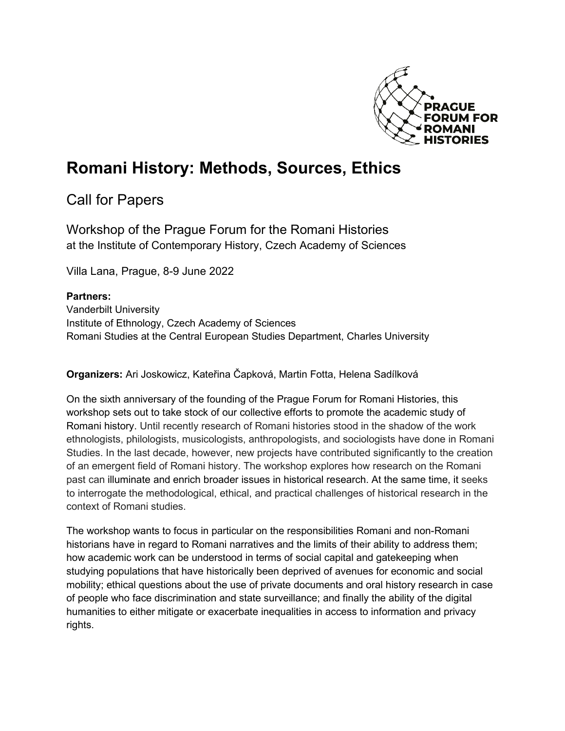

## **Romani History: Methods, Sources, Ethics**

Call for Papers

Workshop of the Prague Forum for the Romani Histories at the Institute of Contemporary History, Czech Academy of Sciences

Villa Lana, Prague, 8-9 June 2022

## **Partners:**

Vanderbilt University Institute of Ethnology, Czech Academy of Sciences Romani Studies at the Central European Studies Department, Charles University

**Organizers:** Ari Joskowicz, Kateřina Čapková, Martin Fotta, Helena Sadílková

On the sixth anniversary of the founding of the Prague Forum for Romani Histories, this workshop sets out to take stock of our collective efforts to promote the academic study of Romani history. Until recently research of Romani histories stood in the shadow of the work ethnologists, philologists, musicologists, anthropologists, and sociologists have done in Romani Studies. In the last decade, however, new projects have contributed significantly to the creation of an emergent field of Romani history. The workshop explores how research on the Romani past can illuminate and enrich broader issues in historical research. At the same time, it seeks to interrogate the methodological, ethical, and practical challenges of historical research in the context of Romani studies.

The workshop wants to focus in particular on the responsibilities Romani and non-Romani historians have in regard to Romani narratives and the limits of their ability to address them; how academic work can be understood in terms of social capital and gatekeeping when studying populations that have historically been deprived of avenues for economic and social mobility; ethical questions about the use of private documents and oral history research in case of people who face discrimination and state surveillance; and finally the ability of the digital humanities to either mitigate or exacerbate inequalities in access to information and privacy rights.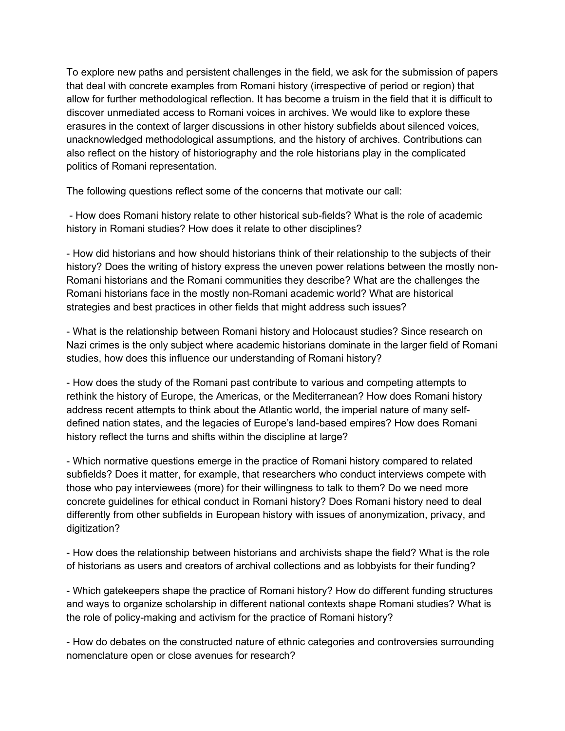To explore new paths and persistent challenges in the field, we ask for the submission of papers that deal with concrete examples from Romani history (irrespective of period or region) that allow for further methodological reflection. It has become a truism in the field that it is difficult to discover unmediated access to Romani voices in archives. We would like to explore these erasures in the context of larger discussions in other history subfields about silenced voices, unacknowledged methodological assumptions, and the history of archives. Contributions can also reflect on the history of historiography and the role historians play in the complicated politics of Romani representation.

The following questions reflect some of the concerns that motivate our call:

- How does Romani history relate to other historical sub-fields? What is the role of academic history in Romani studies? How does it relate to other disciplines?

- How did historians and how should historians think of their relationship to the subjects of their history? Does the writing of history express the uneven power relations between the mostly non-Romani historians and the Romani communities they describe? What are the challenges the Romani historians face in the mostly non-Romani academic world? What are historical strategies and best practices in other fields that might address such issues?

- What is the relationship between Romani history and Holocaust studies? Since research on Nazi crimes is the only subject where academic historians dominate in the larger field of Romani studies, how does this influence our understanding of Romani history?

- How does the study of the Romani past contribute to various and competing attempts to rethink the history of Europe, the Americas, or the Mediterranean? How does Romani history address recent attempts to think about the Atlantic world, the imperial nature of many selfdefined nation states, and the legacies of Europe's land-based empires? How does Romani history reflect the turns and shifts within the discipline at large?

- Which normative questions emerge in the practice of Romani history compared to related subfields? Does it matter, for example, that researchers who conduct interviews compete with those who pay interviewees (more) for their willingness to talk to them? Do we need more concrete guidelines for ethical conduct in Romani history? Does Romani history need to deal differently from other subfields in European history with issues of anonymization, privacy, and digitization?

- How does the relationship between historians and archivists shape the field? What is the role of historians as users and creators of archival collections and as lobbyists for their funding?

- Which gatekeepers shape the practice of Romani history? How do different funding structures and ways to organize scholarship in different national contexts shape Romani studies? What is the role of policy-making and activism for the practice of Romani history?

- How do debates on the constructed nature of ethnic categories and controversies surrounding nomenclature open or close avenues for research?